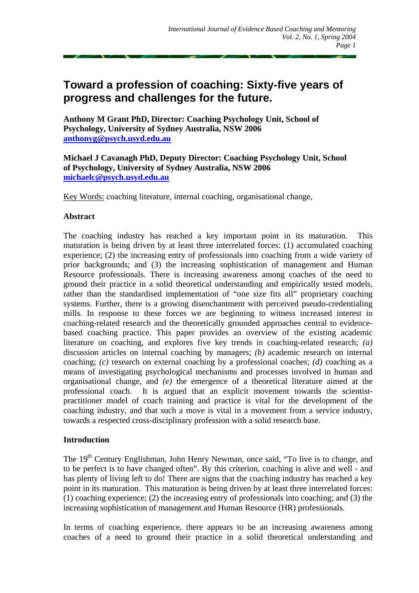# **Toward a profession of coaching: Sixty-five years of progress and challenges for the future.**

**Anthony M Grant PhD, Director: Coaching Psychology Unit, School of Psychology, University of Sydney Australia, NSW 2006 [anthonyg@psych.usyd.edu.au](mailto:anthonyg@psych.usyd.edu.au)**

**Michael J Cavanagh PhD, Deputy Director: Coaching Psychology Unit, School of Psychology, University of Sydney Australia, NSW 2006 [michaelc@psych.usyd.edu.au](mailto:michaelc@psych.usyd.edu.au)**

Key Words: coaching literature, internal coaching, organisational change,

## **Abstract**

The coaching industry has reached a key important point in its maturation. This maturation is being driven by at least three interrelated forces: (1) accumulated coaching experience; (2) the increasing entry of professionals into coaching from a wide variety of prior backgrounds; and (3) the increasing sophistication of management and Human Resource professionals. There is increasing awareness among coaches of the need to ground their practice in a solid theoretical understanding and empirically tested models, rather than the standardised implementation of "one size fits all" proprietary coaching systems. Further, there is a growing disenchantment with perceived pseudo-credentialing mills. In response to these forces we are beginning to witness increased interest in coaching-related research and the theoretically grounded approaches central to evidencebased coaching practice. This paper provides an overview of the existing academic literature on coaching, and explores five key trends in coaching-related research; *(a)* discussion articles on internal coaching by managers; *(b)* academic research on internal coaching; *(c)* research on external coaching by a professional coaches; *(d)* coaching as a means of investigating psychological mechanisms and processes involved in human and organisational change, and *(e)* the emergence of a theoretical literature aimed at the professional coach. It is argued that an explicit movement towards the scientistpractitioner model of coach training and practice is vital for the development of the coaching industry, and that such a move is vital in a movement from a service industry, towards a respected cross-disciplinary profession with a solid research base.

# **Introduction**

The 19<sup>th</sup> Century Englishman, John Henry Newman, once said, "To live is to change, and to be perfect is to have changed often". By this criterion, coaching is alive and well - and has plenty of living left to do! There are signs that the coaching industry has reached a key point in its maturation. This maturation is being driven by at least three interrelated forces: (1) coaching experience; (2) the increasing entry of professionals into coaching; and (3) the increasing sophistication of management and Human Resource (HR) professionals.

In terms of coaching experience, there appears to be an increasing awareness among coaches of a need to ground their practice in a solid theoretical understanding and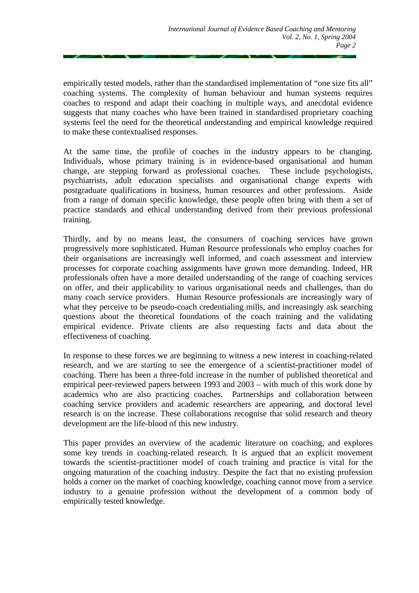empirically tested models, rather than the standardised implementation of "one size fits all" coaching systems. The complexity of human behaviour and human systems requires coaches to respond and adapt their coaching in multiple ways, and anecdotal evidence suggests that many coaches who have been trained in standardised proprietary coaching systems feel the need for the theoretical understanding and empirical knowledge required to make these contextualised responses.

At the same time, the profile of coaches in the industry appears to be changing. Individuals, whose primary training is in evidence-based organisational and human change, are stepping forward as professional coaches. These include psychologists, psychiatrists, adult education specialists and organisational change experts with postgraduate qualifications in business, human resources and other professions. Aside from a range of domain specific knowledge, these people often bring with them a set of practice standards and ethical understanding derived from their previous professional training.

Thirdly, and by no means least, the consumers of coaching services have grown progressively more sophisticated. Human Resource professionals who employ coaches for their organisations are increasingly well informed, and coach assessment and interview processes for corporate coaching assignments have grown more demanding. Indeed, HR professionals often have a more detailed understanding of the range of coaching services on offer, and their applicability to various organisational needs and challenges, than do many coach service providers. Human Resource professionals are increasingly wary of what they perceive to be pseudo-coach credentialing mills, and increasingly ask searching questions about the theoretical foundations of the coach training and the validating empirical evidence. Private clients are also requesting facts and data about the effectiveness of coaching.

In response to these forces we are beginning to witness a new interest in coaching-related research, and we are starting to see the emergence of a scientist-practitioner model of coaching. There has been a three-fold increase in the number of published theoretical and empirical peer-reviewed papers between 1993 and 2003 – with much of this work done by academics who are also practicing coaches. Partnerships and collaboration between coaching service providers and academic researchers are appearing, and doctoral level research is on the increase. These collaborations recognise that solid research and theory development are the life-blood of this new industry.

This paper provides an overview of the academic literature on coaching, and explores some key trends in coaching-related research. It is argued that an explicit movement towards the scientist-practitioner model of coach training and practice is vital for the ongoing maturation of the coaching industry. Despite the fact that no existing profession holds a corner on the market of coaching knowledge, coaching cannot move from a service industry to a genuine profession without the development of a common body of empirically tested knowledge.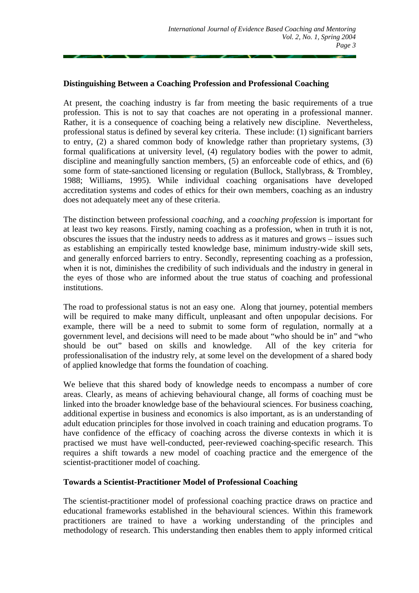## **Distinguishing Between a Coaching Profession and Professional Coaching**

At present, the coaching industry is far from meeting the basic requirements of a true profession. This is not to say that coaches are not operating in a professional manner. Rather, it is a consequence of coaching being a relatively new discipline. Nevertheless, professional status is defined by several key criteria. These include: (1) significant barriers to entry, (2) a shared common body of knowledge rather than proprietary systems, (3) formal qualifications at university level, (4) regulatory bodies with the power to admit, discipline and meaningfully sanction members, (5) an enforceable code of ethics, and (6) some form of state-sanctioned licensing or regulation (Bullock, Stallybrass, & Trombley, 1988; Williams, 1995). While individual coaching organisations have developed accreditation systems and codes of ethics for their own members, coaching as an industry does not adequately meet any of these criteria.

The distinction between professional *coaching*, and a *coaching profession* is important for at least two key reasons. Firstly, naming coaching as a profession, when in truth it is not, obscures the issues that the industry needs to address as it matures and grows – issues such as establishing an empirically tested knowledge base, minimum industry-wide skill sets, and generally enforced barriers to entry. Secondly, representing coaching as a profession, when it is not, diminishes the credibility of such individuals and the industry in general in the eyes of those who are informed about the true status of coaching and professional institutions.

The road to professional status is not an easy one. Along that journey, potential members will be required to make many difficult, unpleasant and often unpopular decisions. For example, there will be a need to submit to some form of regulation, normally at a government level, and decisions will need to be made about "who should be in" and "who should be out" based on skills and knowledge. All of the key criteria for professionalisation of the industry rely, at some level on the development of a shared body of applied knowledge that forms the foundation of coaching.

We believe that this shared body of knowledge needs to encompass a number of core areas. Clearly, as means of achieving behavioural change, all forms of coaching must be linked into the broader knowledge base of the behavioural sciences. For business coaching, additional expertise in business and economics is also important, as is an understanding of adult education principles for those involved in coach training and education programs. To have confidence of the efficacy of coaching across the diverse contexts in which it is practised we must have well-conducted, peer-reviewed coaching-specific research. This requires a shift towards a new model of coaching practice and the emergence of the scientist-practitioner model of coaching.

# **Towards a Scientist-Practitioner Model of Professional Coaching**

The scientist-practitioner model of professional coaching practice draws on practice and educational frameworks established in the behavioural sciences. Within this framework practitioners are trained to have a working understanding of the principles and methodology of research. This understanding then enables them to apply informed critical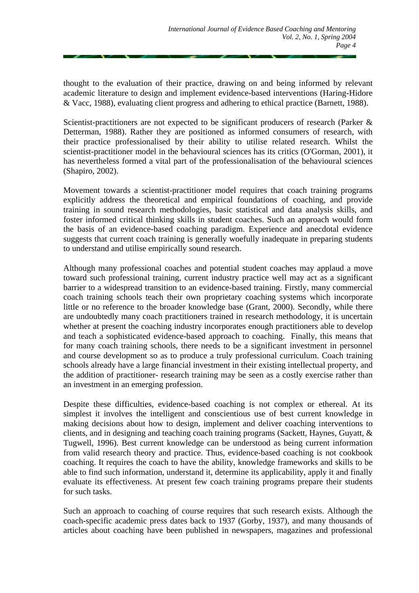thought to the evaluation of their practice, drawing on and being informed by relevant academic literature to design and implement evidence-based interventions (Haring-Hidore & Vacc, 1988), evaluating client progress and adhering to ethical practice (Barnett, 1988).

Scientist-practitioners are not expected to be significant producers of research (Parker & Detterman, 1988). Rather they are positioned as informed consumers of research, with their practice professionalised by their ability to utilise related research. Whilst the scientist-practitioner model in the behavioural sciences has its critics (O'Gorman, 2001), it has nevertheless formed a vital part of the professionalisation of the behavioural sciences (Shapiro, 2002).

Movement towards a scientist-practitioner model requires that coach training programs explicitly address the theoretical and empirical foundations of coaching, and provide training in sound research methodologies, basic statistical and data analysis skills, and foster informed critical thinking skills in student coaches. Such an approach would form the basis of an evidence-based coaching paradigm. Experience and anecdotal evidence suggests that current coach training is generally woefully inadequate in preparing students to understand and utilise empirically sound research.

Although many professional coaches and potential student coaches may applaud a move toward such professional training, current industry practice well may act as a significant barrier to a widespread transition to an evidence-based training. Firstly, many commercial coach training schools teach their own proprietary coaching systems which incorporate little or no reference to the broader knowledge base (Grant, 2000). Secondly, while there are undoubtedly many coach practitioners trained in research methodology, it is uncertain whether at present the coaching industry incorporates enough practitioners able to develop and teach a sophisticated evidence-based approach to coaching. Finally, this means that for many coach training schools, there needs to be a significant investment in personnel and course development so as to produce a truly professional curriculum. Coach training schools already have a large financial investment in their existing intellectual property, and the addition of practitioner- research training may be seen as a costly exercise rather than an investment in an emerging profession.

Despite these difficulties, evidence-based coaching is not complex or ethereal. At its simplest it involves the intelligent and conscientious use of best current knowledge in making decisions about how to design, implement and deliver coaching interventions to clients, and in designing and teaching coach training programs (Sackett, Haynes, Guyatt, & Tugwell, 1996). Best current knowledge can be understood as being current information from valid research theory and practice. Thus, evidence-based coaching is not cookbook coaching. It requires the coach to have the ability, knowledge frameworks and skills to be able to find such information, understand it, determine its applicability, apply it and finally evaluate its effectiveness. At present few coach training programs prepare their students for such tasks.

Such an approach to coaching of course requires that such research exists. Although the coach-specific academic press dates back to 1937 (Gorby, 1937), and many thousands of articles about coaching have been published in newspapers, magazines and professional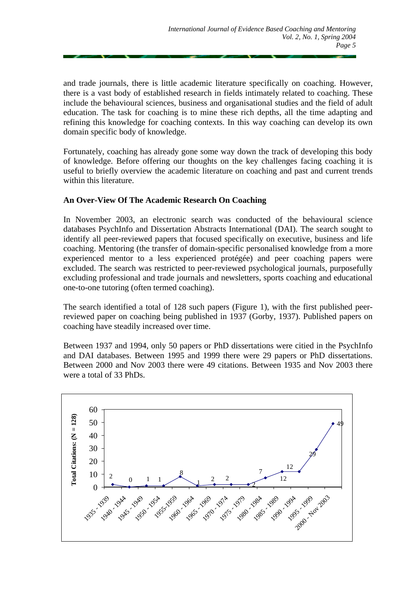and trade journals, there is little academic literature specifically on coaching. However, there is a vast body of established research in fields intimately related to coaching. These include the behavioural sciences, business and organisational studies and the field of adult education. The task for coaching is to mine these rich depths, all the time adapting and refining this knowledge for coaching contexts. In this way coaching can develop its own domain specific body of knowledge.

Fortunately, coaching has already gone some way down the track of developing this body of knowledge. Before offering our thoughts on the key challenges facing coaching it is useful to briefly overview the academic literature on coaching and past and current trends within this literature.

# **An Over-View Of The Academic Research On Coaching**

In November 2003, an electronic search was conducted of the behavioural science databases PsychInfo and Dissertation Abstracts International (DAI). The search sought to identify all peer-reviewed papers that focused specifically on executive, business and life coaching. Mentoring (the transfer of domain-specific personalised knowledge from a more experienced mentor to a less experienced protégée) and peer coaching papers were excluded. The search was restricted to peer-reviewed psychological journals, purposefully excluding professional and trade journals and newsletters, sports coaching and educational one-to-one tutoring (often termed coaching).

The search identified a total of 128 such papers (Figure 1), with the first published peerreviewed paper on coaching being published in 1937 (Gorby, 1937). Published papers on coaching have steadily increased over time.

Between 1937 and 1994, only 50 papers or PhD dissertations were citied in the PsychInfo and DAI databases. Between 1995 and 1999 there were 29 papers or PhD dissertations. Between 2000 and Nov 2003 there were 49 citations. Between 1935 and Nov 2003 there were a total of 33 PhDs.

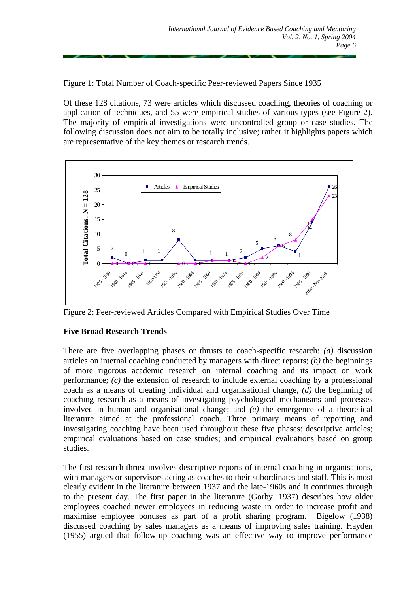Figure 1: Total Number of Coach-specific Peer-reviewed Papers Since 1935

Of these 128 citations, 73 were articles which discussed coaching, theories of coaching or application of techniques, and 55 were empirical studies of various types (see Figure 2). The majority of empirical investigations were uncontrolled group or case studies. The following discussion does not aim to be totally inclusive; rather it highlights papers which are representative of the key themes or research trends.



# Figure 2: Peer-reviewed Articles Compared with Empirical Studies Over Time

# **Five Broad Research Trends**

There are five overlapping phases or thrusts to coach-specific research: *(a)* discussion articles on internal coaching conducted by managers with direct reports; *(b)* the beginnings of more rigorous academic research on internal coaching and its impact on work performance; *(c)* the extension of research to include external coaching by a professional coach as a means of creating individual and organisational change, *(d)* the beginning of coaching research as a means of investigating psychological mechanisms and processes involved in human and organisational change; and *(e)* the emergence of a theoretical literature aimed at the professional coach. Three primary means of reporting and investigating coaching have been used throughout these five phases: descriptive articles; empirical evaluations based on case studies; and empirical evaluations based on group studies.

The first research thrust involves descriptive reports of internal coaching in organisations, with managers or supervisors acting as coaches to their subordinates and staff. This is most clearly evident in the literature between 1937 and the late-1960s and it continues through to the present day. The first paper in the literature (Gorby, 1937) describes how older employees coached newer employees in reducing waste in order to increase profit and maximise employee bonuses as part of a profit sharing program. Bigelow (1938) discussed coaching by sales managers as a means of improving sales training. Hayden (1955) argued that follow-up coaching was an effective way to improve performance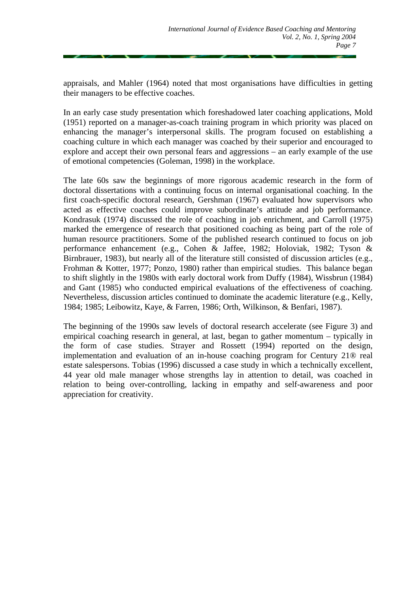appraisals, and Mahler (1964) noted that most organisations have difficulties in getting their managers to be effective coaches.

In an early case study presentation which foreshadowed later coaching applications, Mold (1951) reported on a manager-as-coach training program in which priority was placed on enhancing the manager's interpersonal skills. The program focused on establishing a coaching culture in which each manager was coached by their superior and encouraged to explore and accept their own personal fears and aggressions – an early example of the use of emotional competencies (Goleman, 1998) in the workplace.

The late 60s saw the beginnings of more rigorous academic research in the form of doctoral dissertations with a continuing focus on internal organisational coaching. In the first coach-specific doctoral research, Gershman (1967) evaluated how supervisors who acted as effective coaches could improve subordinate's attitude and job performance. Kondrasuk (1974) discussed the role of coaching in job enrichment, and Carroll (1975) marked the emergence of research that positioned coaching as being part of the role of human resource practitioners. Some of the published research continued to focus on job performance enhancement (e.g., Cohen & Jaffee, 1982; Holoviak, 1982; Tyson & Birnbrauer, 1983), but nearly all of the literature still consisted of discussion articles (e.g., Frohman & Kotter, 1977; Ponzo, 1980) rather than empirical studies. This balance began to shift slightly in the 1980s with early doctoral work from Duffy (1984), Wissbrun (1984) and Gant (1985) who conducted empirical evaluations of the effectiveness of coaching. Nevertheless, discussion articles continued to dominate the academic literature (e.g., Kelly, 1984; 1985; Leibowitz, Kaye, & Farren, 1986; Orth, Wilkinson, & Benfari, 1987).

The beginning of the 1990s saw levels of doctoral research accelerate (see Figure 3) and empirical coaching research in general, at last, began to gather momentum – typically in the form of case studies. Strayer and Rossett (1994) reported on the design, implementation and evaluation of an in-house coaching program for Century 21® real estate salespersons. Tobias (1996) discussed a case study in which a technically excellent, 44 year old male manager whose strengths lay in attention to detail, was coached in relation to being over-controlling, lacking in empathy and self-awareness and poor appreciation for creativity.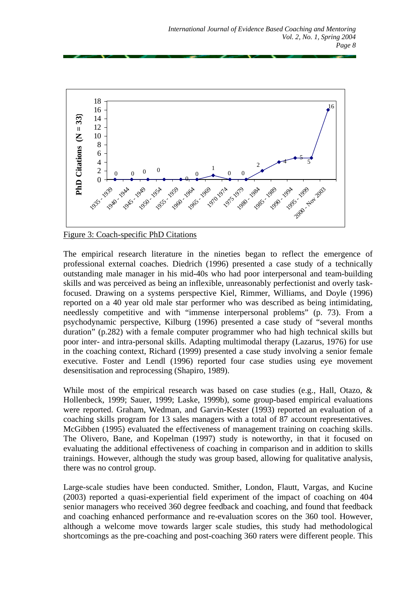

Figure 3: Coach-specific PhD Citations

The empirical research literature in the nineties began to reflect the emergence of professional external coaches. Diedrich (1996) presented a case study of a technically outstanding male manager in his mid-40s who had poor interpersonal and team-building skills and was perceived as being an inflexible, unreasonably perfectionist and overly taskfocused. Drawing on a systems perspective Kiel, Rimmer, Williams, and Doyle (1996) reported on a 40 year old male star performer who was described as being intimidating, needlessly competitive and with "immense interpersonal problems" (p. 73). From a psychodynamic perspective, Kilburg (1996) presented a case study of "several months duration" (p.282) with a female computer programmer who had high technical skills but poor inter- and intra-personal skills. Adapting multimodal therapy (Lazarus, 1976) for use in the coaching context, Richard (1999) presented a case study involving a senior female executive. Foster and Lendl (1996) reported four case studies using eye movement desensitisation and reprocessing (Shapiro, 1989).

While most of the empirical research was based on case studies (e.g., Hall, Otazo, & Hollenbeck, 1999; Sauer, 1999; Laske, 1999b), some group-based empirical evaluations were reported. Graham, Wedman, and Garvin-Kester (1993) reported an evaluation of a coaching skills program for 13 sales managers with a total of 87 account representatives. McGibben (1995) evaluated the effectiveness of management training on coaching skills. The Olivero, Bane, and Kopelman (1997) study is noteworthy, in that it focused on evaluating the additional effectiveness of coaching in comparison and in addition to skills trainings. However, although the study was group based, allowing for qualitative analysis, there was no control group.

Large-scale studies have been conducted. Smither, London, Flautt, Vargas, and Kucine (2003) reported a quasi-experiential field experiment of the impact of coaching on 404 senior managers who received 360 degree feedback and coaching, and found that feedback and coaching enhanced performance and re-evaluation scores on the 360 tool. However, although a welcome move towards larger scale studies, this study had methodological shortcomings as the pre-coaching and post-coaching 360 raters were different people. This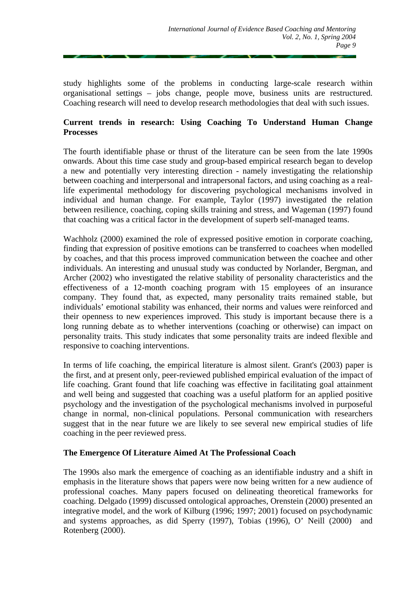study highlights some of the problems in conducting large-scale research within organisational settings – jobs change, people move, business units are restructured. Coaching research will need to develop research methodologies that deal with such issues.

# **Current trends in research: Using Coaching To Understand Human Change Processes**

The fourth identifiable phase or thrust of the literature can be seen from the late 1990s onwards. About this time case study and group-based empirical research began to develop a new and potentially very interesting direction - namely investigating the relationship between coaching and interpersonal and intrapersonal factors, and using coaching as a reallife experimental methodology for discovering psychological mechanisms involved in individual and human change. For example, Taylor (1997) investigated the relation between resilience, coaching, coping skills training and stress, and Wageman (1997) found that coaching was a critical factor in the development of superb self-managed teams.

Wachholz (2000) examined the role of expressed positive emotion in corporate coaching, finding that expression of positive emotions can be transferred to coachees when modelled by coaches, and that this process improved communication between the coachee and other individuals. An interesting and unusual study was conducted by Norlander, Bergman, and Archer (2002) who investigated the relative stability of personality characteristics and the effectiveness of a 12-month coaching program with 15 employees of an insurance company. They found that, as expected, many personality traits remained stable, but individuals' emotional stability was enhanced, their norms and values were reinforced and their openness to new experiences improved. This study is important because there is a long running debate as to whether interventions (coaching or otherwise) can impact on personality traits. This study indicates that some personality traits are indeed flexible and responsive to coaching interventions.

In terms of life coaching, the empirical literature is almost silent. Grant's (2003) paper is the first, and at present only, peer-reviewed published empirical evaluation of the impact of life coaching. Grant found that life coaching was effective in facilitating goal attainment and well being and suggested that coaching was a useful platform for an applied positive psychology and the investigation of the psychological mechanisms involved in purposeful change in normal, non-clinical populations. Personal communication with researchers suggest that in the near future we are likely to see several new empirical studies of life coaching in the peer reviewed press.

#### **The Emergence Of Literature Aimed At The Professional Coach**

The 1990s also mark the emergence of coaching as an identifiable industry and a shift in emphasis in the literature shows that papers were now being written for a new audience of professional coaches. Many papers focused on delineating theoretical frameworks for coaching. Delgado (1999) discussed ontological approaches, Orenstein (2000) presented an integrative model, and the work of Kilburg (1996; 1997; 2001) focused on psychodynamic and systems approaches, as did Sperry (1997), Tobias (1996), O' Neill (2000) and Rotenberg (2000).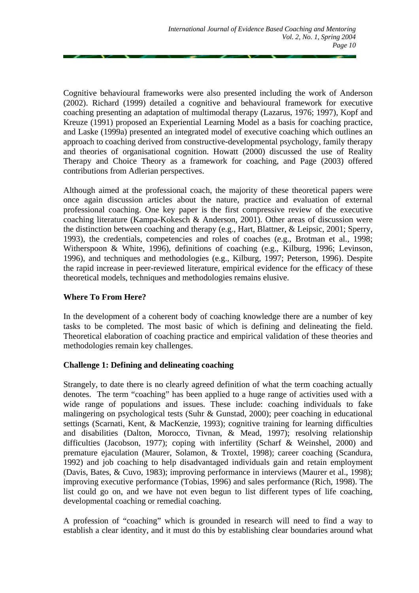Cognitive behavioural frameworks were also presented including the work of Anderson (2002). Richard (1999) detailed a cognitive and behavioural framework for executive coaching presenting an adaptation of multimodal therapy (Lazarus, 1976; 1997), Kopf and Kreuze (1991) proposed an Experiential Learning Model as a basis for coaching practice, and Laske (1999a) presented an integrated model of executive coaching which outlines an approach to coaching derived from constructive-developmental psychology, family therapy and theories of organisational cognition. Howatt (2000) discussed the use of Reality Therapy and Choice Theory as a framework for coaching, and Page (2003) offered contributions from Adlerian perspectives.

Although aimed at the professional coach, the majority of these theoretical papers were once again discussion articles about the nature, practice and evaluation of external professional coaching. One key paper is the first compressive review of the executive coaching literature (Kampa-Kokesch & Anderson, 2001). Other areas of discussion were the distinction between coaching and therapy (e.g., Hart, Blattner, & Leipsic, 2001; Sperry, 1993), the credentials, competencies and roles of coaches (e.g., Brotman et al., 1998; Witherspoon & White, 1996), definitions of coaching (e.g., Kilburg, 1996; Levinson, 1996), and techniques and methodologies (e.g., Kilburg, 1997; Peterson, 1996). Despite the rapid increase in peer-reviewed literature, empirical evidence for the efficacy of these theoretical models, techniques and methodologies remains elusive.

## **Where To From Here?**

In the development of a coherent body of coaching knowledge there are a number of key tasks to be completed. The most basic of which is defining and delineating the field. Theoretical elaboration of coaching practice and empirical validation of these theories and methodologies remain key challenges.

#### **Challenge 1: Defining and delineating coaching**

Strangely, to date there is no clearly agreed definition of what the term coaching actually denotes. The term "coaching" has been applied to a huge range of activities used with a wide range of populations and issues. These include: coaching individuals to fake malingering on psychological tests (Suhr & Gunstad, 2000); peer coaching in educational settings (Scarnati, Kent, & MacKenzie, 1993); cognitive training for learning difficulties and disabilities (Dalton, Morocco, Tivnan, & Mead, 1997); resolving relationship difficulties (Jacobson, 1977); coping with infertility (Scharf & Weinshel, 2000) and premature ejaculation (Maurer, Solamon, & Troxtel, 1998); career coaching (Scandura, 1992) and job coaching to help disadvantaged individuals gain and retain employment (Davis, Bates, & Cuvo, 1983); improving performance in interviews (Maurer et al., 1998); improving executive performance (Tobias, 1996) and sales performance (Rich, 1998). The list could go on, and we have not even begun to list different types of life coaching, developmental coaching or remedial coaching.

A profession of "coaching" which is grounded in research will need to find a way to establish a clear identity, and it must do this by establishing clear boundaries around what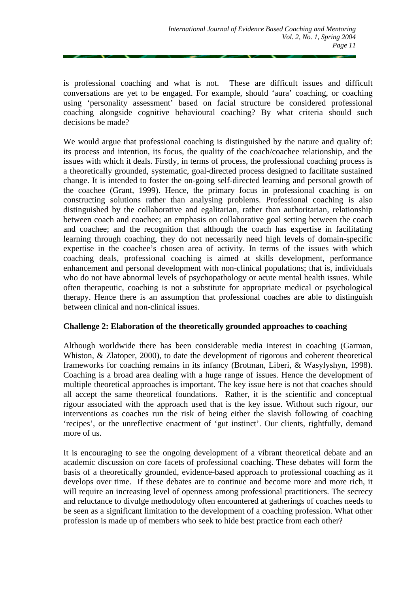is professional coaching and what is not. These are difficult issues and difficult conversations are yet to be engaged. For example, should 'aura' coaching, or coaching using 'personality assessment' based on facial structure be considered professional coaching alongside cognitive behavioural coaching? By what criteria should such decisions be made?

We would argue that professional coaching is distinguished by the nature and quality of: its process and intention, its focus, the quality of the coach/coachee relationship, and the issues with which it deals. Firstly, in terms of process, the professional coaching process is a theoretically grounded, systematic, goal-directed process designed to facilitate sustained change. It is intended to foster the on-going self-directed learning and personal growth of the coachee (Grant, 1999). Hence, the primary focus in professional coaching is on constructing solutions rather than analysing problems. Professional coaching is also distinguished by the collaborative and egalitarian, rather than authoritarian, relationship between coach and coachee; an emphasis on collaborative goal setting between the coach and coachee; and the recognition that although the coach has expertise in facilitating learning through coaching, they do not necessarily need high levels of domain-specific expertise in the coachee's chosen area of activity. In terms of the issues with which coaching deals, professional coaching is aimed at skills development, performance enhancement and personal development with non-clinical populations; that is, individuals who do not have abnormal levels of psychopathology or acute mental health issues. While often therapeutic, coaching is not a substitute for appropriate medical or psychological therapy. Hence there is an assumption that professional coaches are able to distinguish between clinical and non-clinical issues.

#### **Challenge 2: Elaboration of the theoretically grounded approaches to coaching**

Although worldwide there has been considerable media interest in coaching (Garman, Whiston, & Zlatoper, 2000), to date the development of rigorous and coherent theoretical frameworks for coaching remains in its infancy (Brotman, Liberi, & Wasylyshyn, 1998). Coaching is a broad area dealing with a huge range of issues. Hence the development of multiple theoretical approaches is important. The key issue here is not that coaches should all accept the same theoretical foundations. Rather, it is the scientific and conceptual rigour associated with the approach used that is the key issue. Without such rigour, our interventions as coaches run the risk of being either the slavish following of coaching 'recipes', or the unreflective enactment of 'gut instinct'. Our clients, rightfully, demand more of us.

It is encouraging to see the ongoing development of a vibrant theoretical debate and an academic discussion on core facets of professional coaching. These debates will form the basis of a theoretically grounded, evidence-based approach to professional coaching as it develops over time. If these debates are to continue and become more and more rich, it will require an increasing level of openness among professional practitioners. The secrecy and reluctance to divulge methodology often encountered at gatherings of coaches needs to be seen as a significant limitation to the development of a coaching profession. What other profession is made up of members who seek to hide best practice from each other?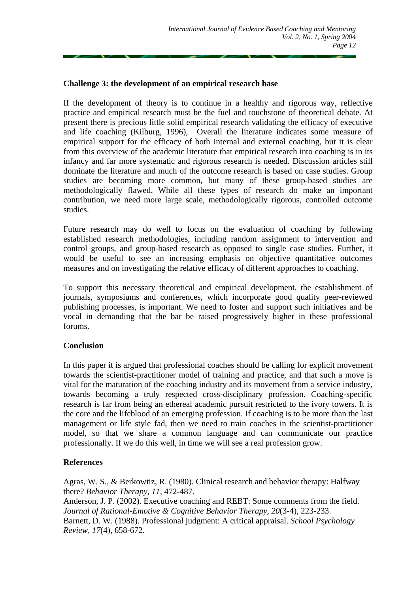#### **Challenge 3: the development of an empirical research base**

If the development of theory is to continue in a healthy and rigorous way, reflective practice and empirical research must be the fuel and touchstone of theoretical debate. At present there is precious little solid empirical research validating the efficacy of executive and life coaching (Kilburg, 1996), Overall the literature indicates some measure of empirical support for the efficacy of both internal and external coaching, but it is clear from this overview of the academic literature that empirical research into coaching is in its infancy and far more systematic and rigorous research is needed. Discussion articles still dominate the literature and much of the outcome research is based on case studies. Group studies are becoming more common, but many of these group-based studies are methodologically flawed. While all these types of research do make an important contribution, we need more large scale, methodologically rigorous, controlled outcome studies.

Future research may do well to focus on the evaluation of coaching by following established research methodologies, including random assignment to intervention and control groups, and group-based research as opposed to single case studies. Further, it would be useful to see an increasing emphasis on objective quantitative outcomes measures and on investigating the relative efficacy of different approaches to coaching.

To support this necessary theoretical and empirical development, the establishment of journals, symposiums and conferences, which incorporate good quality peer-reviewed publishing processes, is important. We need to foster and support such initiatives and be vocal in demanding that the bar be raised progressively higher in these professional forums.

#### **Conclusion**

In this paper it is argued that professional coaches should be calling for explicit movement towards the scientist-practitioner model of training and practice, and that such a move is vital for the maturation of the coaching industry and its movement from a service industry, towards becoming a truly respected cross-disciplinary profession. Coaching-specific research is far from being an ethereal academic pursuit restricted to the ivory towers. It is the core and the lifeblood of an emerging profession. If coaching is to be more than the last management or life style fad, then we need to train coaches in the scientist-practitioner model, so that we share a common language and can communicate our practice professionally. If we do this well, in time we will see a real profession grow.

# **References**

Agras, W. S., & Berkowtiz, R. (1980). Clinical research and behavior therapy: Halfway there? *Behavior Therapy, 11*, 472-487.

Anderson, J. P. (2002). Executive coaching and REBT: Some comments from the field. *Journal of Rational-Emotive & Cognitive Behavior Therapy, 20*(3-4), 223-233. Barnett, D. W. (1988). Professional judgment: A critical appraisal. *School Psychology Review, 17*(4), 658-672.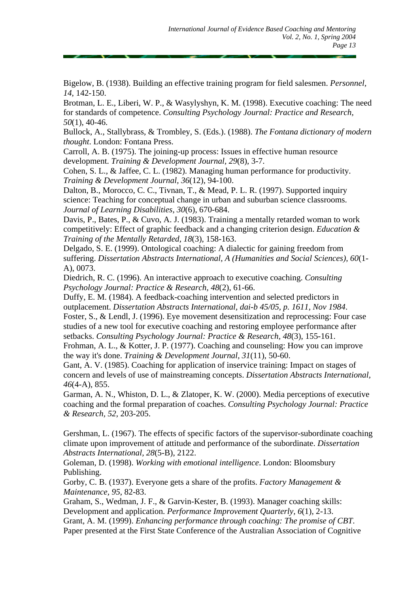Bigelow, B. (1938). Building an effective training program for field salesmen. *Personnel, 14*, 142-150.

Brotman, L. E., Liberi, W. P., & Wasylyshyn, K. M. (1998). Executive coaching: The need for standards of competence. *Consulting Psychology Journal: Practice and Research, 50*(1), 40-46.

Bullock, A., Stallybrass, & Trombley, S. (Eds.). (1988). *The Fontana dictionary of modern thought*. London: Fontana Press.

Carroll, A. B. (1975). The joining-up process: Issues in effective human resource development. *Training & Development Journal, 29*(8), 3-7.

Cohen, S. L., & Jaffee, C. L. (1982). Managing human performance for productivity. *Training & Development Journal, 36*(12), 94-100.

Dalton, B., Morocco, C. C., Tivnan, T., & Mead, P. L. R. (1997). Supported inquiry science: Teaching for conceptual change in urban and suburban science classrooms. *Journal of Learning Disabilities, 30*(6), 670-684.

Davis, P., Bates, P., & Cuvo, A. J. (1983). Training a mentally retarded woman to work competitively: Effect of graphic feedback and a changing criterion design. *Education & Training of the Mentally Retarded, 18*(3), 158-163.

Delgado, S. E. (1999). Ontological coaching: A dialectic for gaining freedom from suffering. *Dissertation Abstracts International, A (Humanities and Social Sciences), 60*(1- A), 0073.

Diedrich, R. C. (1996). An interactive approach to executive coaching. *Consulting Psychology Journal: Practice & Research, 48*(2), 61-66.

Duffy, E. M. (1984). A feedback-coaching intervention and selected predictors in outplacement. *Dissertation Abstracts International, dai-b 45/05, p. 1611, Nov 1984*. Foster, S., & Lendl, J. (1996). Eye movement desensitization and reprocessing: Four case studies of a new tool for executive coaching and restoring employee performance after setbacks. *Consulting Psychology Journal: Practice & Research, 48*(3), 155-161.

Frohman, A. L., & Kotter, J. P. (1977). Coaching and counseling: How you can improve the way it's done. *Training & Development Journal, 31*(11), 50-60.

Gant, A. V. (1985). Coaching for application of inservice training: Impact on stages of concern and levels of use of mainstreaming concepts. *Dissertation Abstracts International, 46*(4-A), 855.

Garman, A. N., Whiston, D. L., & Zlatoper, K. W. (2000). Media perceptions of executive coaching and the formal preparation of coaches. *Consulting Psychology Journal: Practice & Research, 52*, 203-205.

Gershman, L. (1967). The effects of specific factors of the supervisor-subordinate coaching climate upon improvement of attitude and performance of the subordinate. *Dissertation Abstracts International, 28*(5-B), 2122.

Goleman, D. (1998). *Working with emotional intelligence*. London: Bloomsbury Publishing.

Gorby, C. B. (1937). Everyone gets a share of the profits. *Factory Management & Maintenance, 95*, 82-83.

Graham, S., Wedman, J. F., & Garvin-Kester, B. (1993). Manager coaching skills: Development and application. *Performance Improvement Quarterly, 6*(1), 2-13.

Grant, A. M. (1999). *Enhancing performance through coaching: The promise of CBT*. Paper presented at the First State Conference of the Australian Association of Cognitive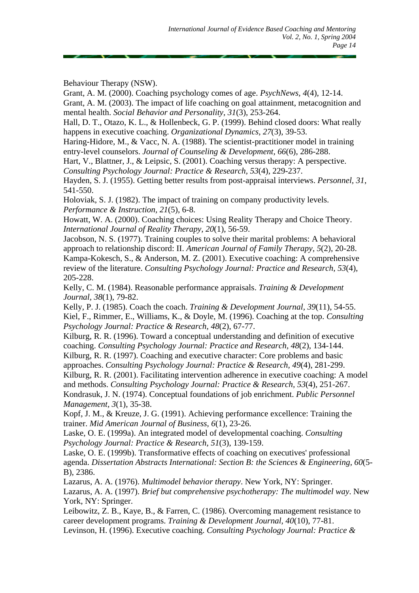Behaviour Therapy (NSW).

Grant, A. M. (2000). Coaching psychology comes of age. *PsychNews, 4*(4), 12-14. Grant, A. M. (2003). The impact of life coaching on goal attainment, metacognition and mental health. *Social Behavior and Personality, 31*(3), 253-264.

Hall, D. T., Otazo, K. L., & Hollenbeck, G. P. (1999). Behind closed doors: What really happens in executive coaching. *Organizational Dynamics, 27*(3), 39-53.

Haring-Hidore, M., & Vacc, N. A. (1988). The scientist-practitioner model in training entry-level counselors. *Journal of Counseling & Development, 66*(6), 286-288.

Hart, V., Blattner, J., & Leipsic, S. (2001). Coaching versus therapy: A perspective.

*Consulting Psychology Journal: Practice & Research, 53*(4), 229-237.

Hayden, S. J. (1955). Getting better results from post-appraisal interviews. *Personnel, 31*, 541-550.

Holoviak, S. J. (1982). The impact of training on company productivity levels. *Performance & Instruction, 21*(5), 6-8.

Howatt, W. A. (2000). Coaching choices: Using Reality Therapy and Choice Theory. *International Journal of Reality Therapy, 20*(1), 56-59.

Jacobson, N. S. (1977). Training couples to solve their marital problems: A behavioral approach to relationship discord: II. *American Journal of Family Therapy, 5*(2), 20-28. Kampa-Kokesch, S., & Anderson, M. Z. (2001). Executive coaching: A comprehensive review of the literature. *Consulting Psychology Journal: Practice and Research, 53*(4), 205-228.

Kelly, C. M. (1984). Reasonable performance appraisals. *Training & Development Journal, 38*(1), 79-82.

Kelly, P. J. (1985). Coach the coach. *Training & Development Journal, 39*(11), 54-55. Kiel, F., Rimmer, E., Williams, K., & Doyle, M. (1996). Coaching at the top. *Consulting Psychology Journal: Practice & Research, 48*(2), 67-77.

Kilburg, R. R. (1996). Toward a conceptual understanding and definition of executive coaching. *Consulting Psychology Journal: Practice and Research, 48*(2), 134-144.

Kilburg, R. R. (1997). Coaching and executive character: Core problems and basic approaches. *Consulting Psychology Journal: Practice & Research, 49*(4), 281-299.

Kilburg, R. R. (2001). Facilitating intervention adherence in executive coaching: A model and methods. *Consulting Psychology Journal: Practice & Research, 53*(4), 251-267. Kondrasuk, J. N. (1974). Conceptual foundations of job enrichment. *Public Personnel Management, 3*(1), 35-38.

Kopf, J. M., & Kreuze, J. G. (1991). Achieving performance excellence: Training the trainer. *Mid American Journal of Business, 6*(1), 23-26.

Laske, O. E. (1999a). An integrated model of developmental coaching. *Consulting Psychology Journal: Practice & Research, 51*(3), 139-159.

Laske, O. E. (1999b). Transformative effects of coaching on executives' professional agenda. *Dissertation Abstracts International: Section B: the Sciences & Engineering, 60*(5- B), 2386.

Lazarus, A. A. (1976). *Multimodel behavior therapy*. New York, NY: Springer. Lazarus, A. A. (1997). *Brief but comprehensive psychotherapy: The multimodel way*. New York, NY: Springer.

Leibowitz, Z. B., Kaye, B., & Farren, C. (1986). Overcoming management resistance to career development programs. *Training & Development Journal, 40*(10), 77-81.

Levinson, H. (1996). Executive coaching. *Consulting Psychology Journal: Practice &*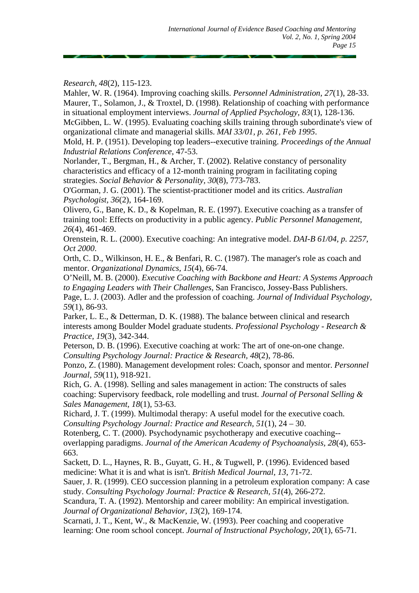#### *Research, 48*(2), 115-123.

Mahler, W. R. (1964). Improving coaching skills. *Personnel Administration, 27*(1), 28-33. Maurer, T., Solamon, J., & Troxtel, D. (1998). Relationship of coaching with performance in situational employment interviews. *Journal of Applied Psychology, 83*(1), 128-136. McGibben, L. W. (1995). Evaluating coaching skills training through subordinate's view of organizational climate and managerial skills. *MAI 33/01, p. 261, Feb 1995*.

Mold, H. P. (1951). Developing top leaders--executive training. *Proceedings of the Annual Industrial Relations Conference*, 47-53.

Norlander, T., Bergman, H., & Archer, T. (2002). Relative constancy of personality characteristics and efficacy of a 12-month training program in facilitating coping strategies. *Social Behavior & Personality, 30*(8), 773-783.

O'Gorman, J. G. (2001). The scientist-practitioner model and its critics. *Australian Psychologist, 36*(2), 164-169.

Olivero, G., Bane, K. D., & Kopelman, R. E. (1997). Executive coaching as a transfer of training tool: Effects on productivity in a public agency. *Public Personnel Management, 26*(4), 461-469.

Orenstein, R. L. (2000). Executive coaching: An integrative model. *DAI-B 61/04, p. 2257, Oct 2000*.

Orth, C. D., Wilkinson, H. E., & Benfari, R. C. (1987). The manager's role as coach and mentor. *Organizational Dynamics, 15*(4), 66-74.

O'Neill, M. B. (2000). *Executive Coaching with Backbone and Heart: A Systems Approach to Engaging Leaders with Their Challenges,* San Francisco, Jossey-Bass Publishers. Page, L. J. (2003). Adler and the profession of coaching. *Journal of Individual Psychology, 59*(1), 86-93.

Parker, L. E., & Detterman, D. K. (1988). The balance between clinical and research interests among Boulder Model graduate students. *Professional Psychology - Research & Practice, 19*(3), 342-344.

Peterson, D. B. (1996). Executive coaching at work: The art of one-on-one change. *Consulting Psychology Journal: Practice & Research, 48*(2), 78-86.

Ponzo, Z. (1980). Management development roles: Coach, sponsor and mentor. *Personnel Journal, 59*(11), 918-921.

Rich, G. A. (1998). Selling and sales management in action: The constructs of sales coaching: Supervisory feedback, role modelling and trust. *Journal of Personal Selling & Sales Management, 18*(1), 53-63.

Richard, J. T. (1999). Multimodal therapy: A useful model for the executive coach. *Consulting Psychology Journal: Practice and Research, 51*(1), 24 – 30.

Rotenberg, C. T. (2000). Psychodynamic psychotherapy and executive coaching- overlapping paradigms. *Journal of the American Academy of Psychoanalysis, 28*(4), 653- 663.

Sackett, D. L., Haynes, R. B., Guyatt, G. H., & Tugwell, P. (1996). Evidenced based medicine: What it is and what is isn't. *British Medical Journal, 13*, 71-72.

Sauer, J. R. (1999). CEO succession planning in a petroleum exploration company: A case study. *Consulting Psychology Journal: Practice & Research, 51*(4), 266-272.

Scandura, T. A. (1992). Mentorship and career mobility: An empirical investigation. *Journal of Organizational Behavior, 13*(2), 169-174.

Scarnati, J. T., Kent, W., & MacKenzie, W. (1993). Peer coaching and cooperative learning: One room school concept. *Journal of Instructional Psychology, 20*(1), 65-71.